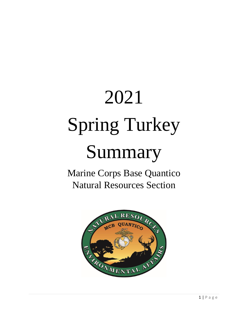## 2021 Spring Turkey Summary

## Marine Corps Base Quantico Natural Resources Section

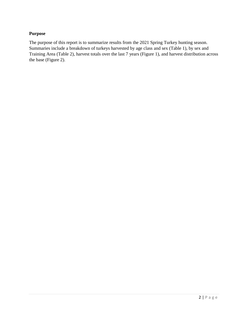## **Purpose**

The purpose of this report is to summarize results from the 2021 Spring Turkey hunting season. Summaries include a breakdown of turkeys harvested by age class and sex (Table 1), by sex and Training Area (Table 2), harvest totals over the last 7 years (Figure 1), and harvest distribution across the base (Figure 2).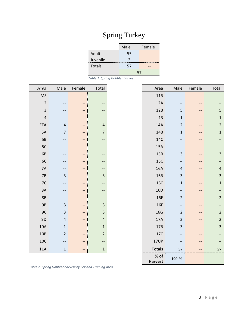## Spring Turkey

|               | Male          | Female |  |
|---------------|---------------|--------|--|
| Adult         | 55            |        |  |
| Juvenile      | $\mathcal{P}$ |        |  |
| <b>Totals</b> | 57            |        |  |
|               | 57            |        |  |

*Table 1. Spring Gobbler harvest* 

| Area                     | Male           | Female | Total          | Area           | Male                    | Female                   | Total          |
|--------------------------|----------------|--------|----------------|----------------|-------------------------|--------------------------|----------------|
| $\overline{\mathsf{MS}}$ | --             | --     | --             | 11B            | --                      | --                       |                |
| $\mathbf 2$              | --             | --     | --             | 12A            |                         | --                       |                |
| $\mathsf 3$              | --             | --     | --             | 12B            | 5                       | --                       | 5              |
| $\pmb{4}$                | --             | $-$    | --             | 13             | $\mathbf 1$             | --                       | $\mathbf{1}$   |
| ETA                      | $\sqrt{4}$     | --     | $\overline{a}$ | 14A            | $\overline{2}$          | --                       | $\overline{2}$ |
| 5A                       | $\overline{7}$ | $-$    | $\overline{7}$ | 14B            | $\mathbf 1$             | --                       | $\mathbf{1}$   |
| 5B                       | --             | --     | --             | 14C            |                         | $-$                      |                |
| 5C                       | --             | --     | $-\hbox{--}$   | 15A            |                         | --                       |                |
| 6B                       |                | --     | --             | 15B            | 3                       | --                       | $\mathsf 3$    |
| 6C                       | --             | --     | --             | <b>15C</b>     | --                      | --                       | --             |
| $7A$                     | --             | --     | --             | 16A            | $\overline{\mathbf{r}}$ | --                       | $\sqrt{4}$     |
| $7B$                     | $\mathsf{3}$   | --     | $\mathsf 3$    | 16B            | $\mathsf 3$             | --                       | $\mathsf 3$    |
| 7C                       | --             | --     | --             | <b>16C</b>     | $\mathbf 1$             | $-$                      | $\mathbf{1}$   |
| <b>8A</b>                |                | --     | $-\hbox{--}$   | 16D            | --                      |                          | --             |
| 8B                       | --             | --     | --             | <b>16E</b>     | $\overline{2}$          | --                       | $\overline{2}$ |
| 9B                       | $\mathsf 3$    | --     | $\mathsf{3}$   | 16F            | --                      | --                       | --             |
| 9C                       | $\mathbf{3}$   | --     | $\mathsf 3$    | 16G            | $\overline{2}$          | --                       | $\overline{2}$ |
| 9D                       | $\sqrt{4}$     | --     | $\overline{a}$ | 17A            | $\overline{2}$          | --                       | $\overline{2}$ |
| $10A$                    | $\mathbf 1$    | --     | $\mathbf 1$    | 17B            | 3                       | --                       | 3              |
| $10B$                    | $\overline{2}$ | $-$    | $\mathbf 2$    | 17C            |                         | --                       |                |
| $10C$                    |                | $-$    | --             | 17UP           | --                      | $\overline{\phantom{a}}$ |                |
| 11A                      | $\mathbf 1$    | --     | $\mathbf 1$    | <b>Totals</b>  | 57                      | --                       | 57             |
|                          |                |        |                | $%$ of         | $100 \%$                |                          |                |
|                          |                |        |                | <b>Harvest</b> |                         |                          |                |

*Table 2. Spring Gobbler harvest by Sex and Training Area*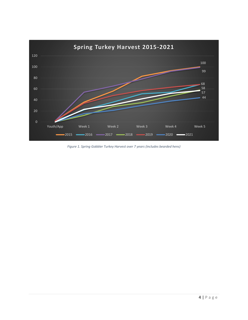

*Figure 1. Spring Gobbler Turkey Harvest over 7 years (includes bearded hens)*